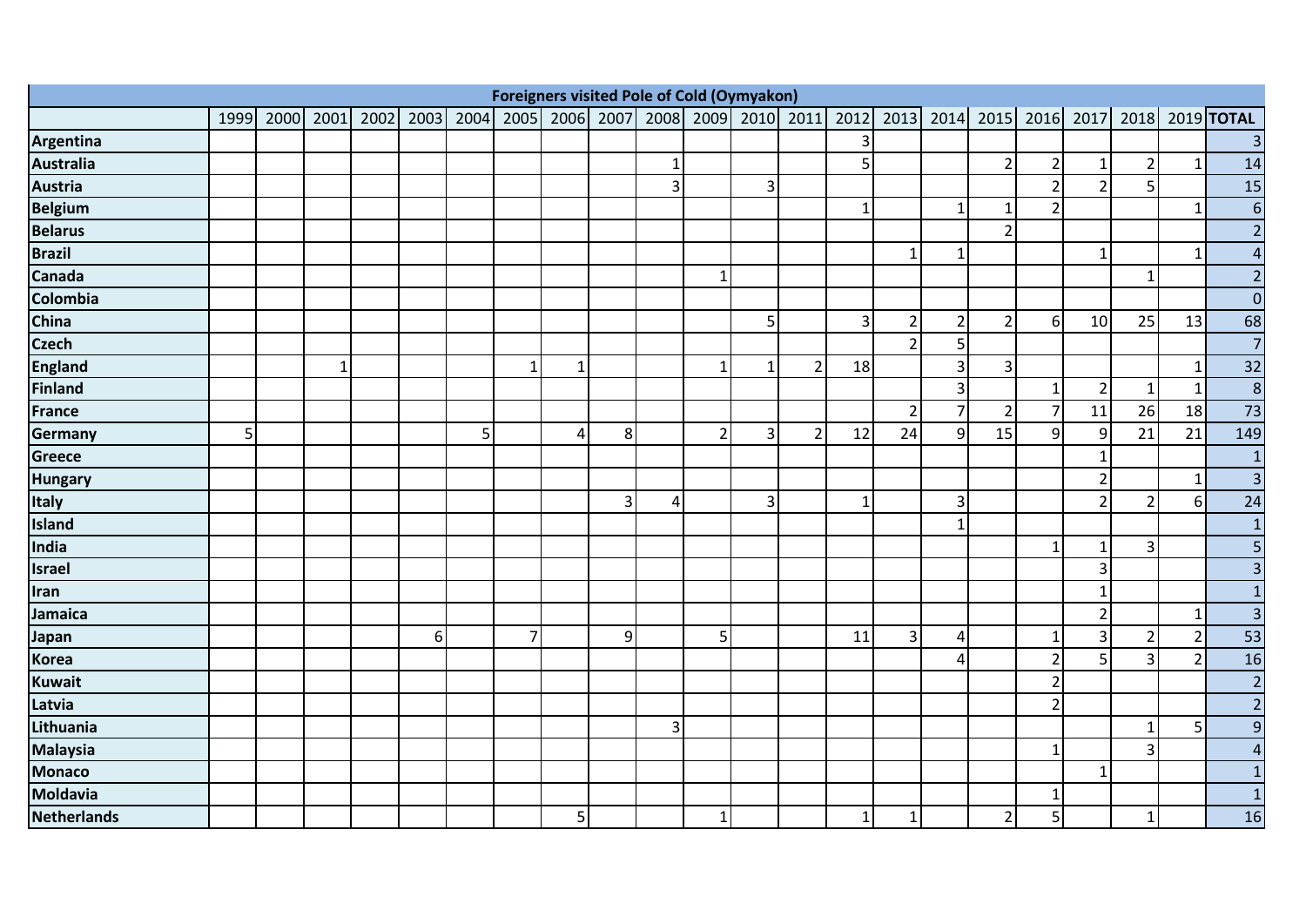|                    | <b>Foreigners visited Pole of Cold (Oymyakon)</b><br>2006 2007 2008 2009<br>2015 2016 2017 2018 2019 TOTAL |  |             |      |          |           |                |    |   |                |                |                |                |                |                |                |                |                |                 |                |    |     |
|--------------------|------------------------------------------------------------------------------------------------------------|--|-------------|------|----------|-----------|----------------|----|---|----------------|----------------|----------------|----------------|----------------|----------------|----------------|----------------|----------------|-----------------|----------------|----|-----|
|                    | 1999                                                                                                       |  | 2000 2001   | 2002 |          | 2003 2004 | 2005           |    |   |                |                |                | 2010 2011      | 2012           |                | 2013 2014      |                |                |                 |                |    |     |
| Argentina          |                                                                                                            |  |             |      |          |           |                |    |   |                |                |                |                |                |                |                |                |                |                 |                |    |     |
| <b>Australia</b>   |                                                                                                            |  |             |      |          |           |                |    |   | $\mathbf{1}$   |                |                |                | 5 <sup>1</sup> |                |                | $\overline{2}$ | $\overline{2}$ | $\mathbf{1}$    | 2              |    | 14  |
| <b>Austria</b>     |                                                                                                            |  |             |      |          |           |                |    |   | $\overline{3}$ |                | 3              |                |                |                |                |                | $\overline{2}$ | $\overline{2}$  | 5              |    | 15  |
| <b>Belgium</b>     |                                                                                                            |  |             |      |          |           |                |    |   |                |                |                |                |                |                | $\mathbf{1}$   | 1              | $\overline{2}$ |                 |                | 1  | b   |
| <b>Belarus</b>     |                                                                                                            |  |             |      |          |           |                |    |   |                |                |                |                |                |                |                | $\overline{2}$ |                |                 |                |    |     |
| <b>Brazil</b>      |                                                                                                            |  |             |      |          |           |                |    |   |                |                |                |                |                | $\mathbf 1$    | 1              |                |                | $\mathbf{1}$    |                | -1 |     |
| Canada             |                                                                                                            |  |             |      |          |           |                |    |   |                | $\mathbf{1}$   |                |                |                |                |                |                |                |                 | $\mathbf{1}$   |    |     |
| Colombia           |                                                                                                            |  |             |      |          |           |                |    |   |                |                |                |                |                |                |                |                |                |                 |                |    |     |
| China              |                                                                                                            |  |             |      |          |           |                |    |   |                |                | 5 <sup>1</sup> |                | $\vert$ 3      | $\overline{2}$ | $\overline{2}$ | $\overline{2}$ | $6 \mid$       | 10              | 25             | 13 | 68  |
| <b>Czech</b>       |                                                                                                            |  |             |      |          |           |                |    |   |                |                |                |                |                | $\overline{2}$ | 5              |                |                |                 |                |    |     |
| <b>England</b>     |                                                                                                            |  | $\mathbf 1$ |      |          |           | 1              | -1 |   |                | $\mathbf{1}$   | $\mathbf{1}$   | $\overline{2}$ | 18             |                | 3              | $\overline{3}$ |                |                 |                |    | 32  |
| <b>Finland</b>     |                                                                                                            |  |             |      |          |           |                |    |   |                |                |                |                |                |                | $\mathsf{3}$   |                | 1              | $\overline{2}$  | 1              | -1 | 8   |
| <b>France</b>      |                                                                                                            |  |             |      |          |           |                |    |   |                |                |                |                |                | $\overline{2}$ | $\overline{7}$ | $\overline{2}$ | $\overline{7}$ | 11              | 26             | 18 | 73  |
| Germany            | 5 <sub>l</sub>                                                                                             |  |             |      |          | 5         |                | 4  | 8 |                | $\overline{2}$ | $\vert$ 3      | $\overline{2}$ | 12             | 24             | 9              | 15             | $\overline{9}$ | $\overline{9}$  | 21             | 21 | 149 |
| Greece             |                                                                                                            |  |             |      |          |           |                |    |   |                |                |                |                |                |                |                |                |                | $1\overline{ }$ |                |    |     |
| <b>Hungary</b>     |                                                                                                            |  |             |      |          |           |                |    |   |                |                |                |                |                |                |                |                |                | $\overline{2}$  |                | -1 |     |
| <b>Italy</b>       |                                                                                                            |  |             |      |          |           |                |    | 3 | 4              |                | 3              |                |                |                | 3              |                |                | $\overline{2}$  | 2              | 6  | 24  |
| <b>Island</b>      |                                                                                                            |  |             |      |          |           |                |    |   |                |                |                |                |                |                | $\mathbf{1}$   |                |                |                 |                |    |     |
| India              |                                                                                                            |  |             |      |          |           |                |    |   |                |                |                |                |                |                |                |                | 1              | $\mathbf{1}$    | 3 <sub>l</sub> |    |     |
| <b>Israel</b>      |                                                                                                            |  |             |      |          |           |                |    |   |                |                |                |                |                |                |                |                |                | $\overline{3}$  |                |    |     |
| Iran               |                                                                                                            |  |             |      |          |           |                |    |   |                |                |                |                |                |                |                |                |                | $\mathbf{1}$    |                |    |     |
| Jamaica            |                                                                                                            |  |             |      |          |           |                |    |   |                |                |                |                |                |                |                |                |                | $\overline{2}$  |                | -1 |     |
| Japan              |                                                                                                            |  |             |      | $6 \mid$ |           | $\overline{7}$ |    | 9 |                | 5              |                |                | 11             | $\vert$ 3      | 4              |                | 1              | $\overline{3}$  | $\overline{2}$ | 2  | 53  |
| <b>Korea</b>       |                                                                                                            |  |             |      |          |           |                |    |   |                |                |                |                |                |                | 4              |                | $\overline{2}$ | 5 <sup>1</sup>  | 3              |    | 16  |
| <b>Kuwait</b>      |                                                                                                            |  |             |      |          |           |                |    |   |                |                |                |                |                |                |                |                | $\overline{2}$ |                 |                |    |     |
| Latvia             |                                                                                                            |  |             |      |          |           |                |    |   |                |                |                |                |                |                |                |                | $\overline{2}$ |                 |                |    |     |
| Lithuania          |                                                                                                            |  |             |      |          |           |                |    |   | 3              |                |                |                |                |                |                |                |                |                 | 1              | 5  |     |
| <b>Malaysia</b>    |                                                                                                            |  |             |      |          |           |                |    |   |                |                |                |                |                |                |                |                | $\mathbf{1}$   |                 | 3 <sup>1</sup> |    |     |
| <b>Monaco</b>      |                                                                                                            |  |             |      |          |           |                |    |   |                |                |                |                |                |                |                |                |                | $\mathbf{1}$    |                |    |     |
| Moldavia           |                                                                                                            |  |             |      |          |           |                |    |   |                |                |                |                |                |                |                |                | 1              |                 |                |    |     |
| <b>Netherlands</b> |                                                                                                            |  |             |      |          |           |                | 5  |   |                | $\mathbf{1}$   |                |                |                | $\mathbf{1}$   |                | $\overline{2}$ | $\overline{5}$ |                 | $\mathbf{1}$   |    | 16  |